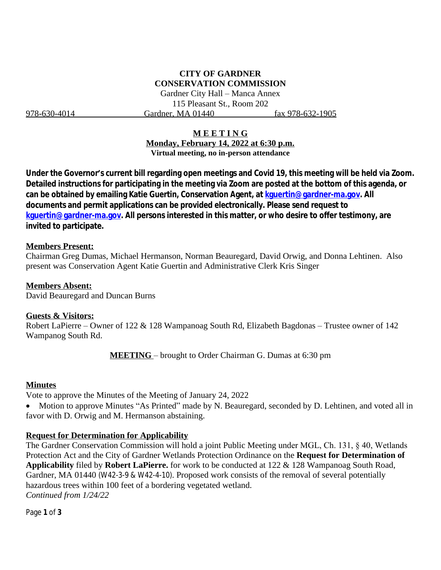# **CITY OF GARDNER CONSERVATION COMMISSION**

Gardner City Hall – Manca Annex 115 Pleasant St., Room 202 978-630-4014 Gardner, MA 01440 fax 978-632-1905

## **M E E T I N G**

**Monday, February 14, 2022 at 6:30 p.m. Virtual meeting, no in-person attendance**

**Under the Governor's current bill regarding open meetings and Covid 19, this meeting will be held via Zoom. Detailed instructions for participating in the meeting via Zoom are posted at the bottom of this agenda, or can be obtained by emailing Katie Guertin, Conservation Agent, at [kguertin@gardner-ma.gov. All](mailto:kguertin@gardner-ma.gov)  [documents and permit applications can be provided electronically. Please send request to](mailto:kguertin@gardner-ma.gov)  [kguertin@gardner-ma.gov.](mailto:kguertin@gardner-ma.gov) All persons interested in this matter, or who desire to offer testimony, are invited to participate.**

#### **Members Present:**

Chairman Greg Dumas, Michael Hermanson, Norman Beauregard, David Orwig, and Donna Lehtinen. Also present was Conservation Agent Katie Guertin and Administrative Clerk Kris Singer

#### **Members Absent:**

David Beauregard and Duncan Burns

#### **Guests & Visitors:**

Robert LaPierre – Owner of 122 & 128 Wampanoag South Rd, Elizabeth Bagdonas – Trustee owner of 142 Wampanog South Rd.

**MEETING** – brought to Order Chairman G. Dumas at 6:30 pm

## **Minutes**

Vote to approve the Minutes of the Meeting of January 24, 2022

• Motion to approve Minutes "As Printed" made by N. Beauregard, seconded by D. Lehtinen, and voted all in favor with D. Orwig and M. Hermanson abstaining.

## **Request for Determination for Applicability**

The Gardner Conservation Commission will hold a joint Public Meeting under MGL, Ch. 131, § 40, Wetlands Protection Act and the City of Gardner Wetlands Protection Ordinance on the **Request for Determination of Applicability** filed by **Robert LaPierre.** for work to be conducted at 122 & 128 Wampanoag South Road, Gardner, MA 01440 (W42-3-9 & W42-4-10). Proposed work consists of the removal of several potentially hazardous trees within 100 feet of a bordering vegetated wetland. *Continued from 1/24/22*

Page **1** of **3**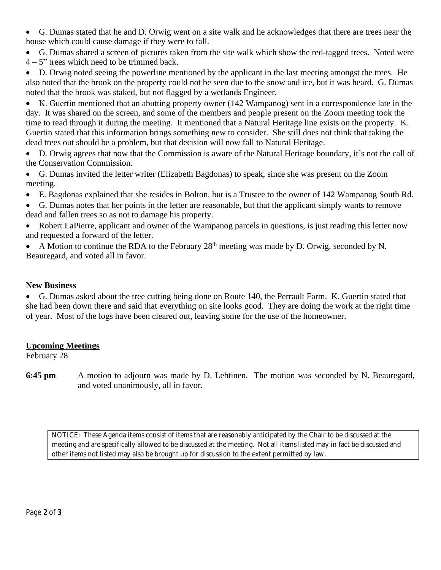G. Dumas stated that he and D. Orwig went on a site walk and he acknowledges that there are trees near the house which could cause damage if they were to fall.

 G. Dumas shared a screen of pictures taken from the site walk which show the red-tagged trees. Noted were  $4 - 5$ " trees which need to be trimmed back.

 D. Orwig noted seeing the powerline mentioned by the applicant in the last meeting amongst the trees. He also noted that the brook on the property could not be seen due to the snow and ice, but it was heard. G. Dumas noted that the brook was staked, but not flagged by a wetlands Engineer.

 K. Guertin mentioned that an abutting property owner (142 Wampanog) sent in a correspondence late in the day. It was shared on the screen, and some of the members and people present on the Zoom meeting took the time to read through it during the meeting. It mentioned that a Natural Heritage line exists on the property. K. Guertin stated that this information brings something new to consider. She still does not think that taking the dead trees out should be a problem, but that decision will now fall to Natural Heritage.

 D. Orwig agrees that now that the Commission is aware of the Natural Heritage boundary, it's not the call of the Conservation Commission.

 G. Dumas invited the letter writer (Elizabeth Bagdonas) to speak, since she was present on the Zoom meeting.

- E. Bagdonas explained that she resides in Bolton, but is a Trustee to the owner of 142 Wampanog South Rd.
- G. Dumas notes that her points in the letter are reasonable, but that the applicant simply wants to remove dead and fallen trees so as not to damage his property.
- Robert LaPierre, applicant and owner of the Wampanog parcels in questions, is just reading this letter now and requested a forward of the letter.
- A Motion to continue the RDA to the February 28<sup>th</sup> meeting was made by D. Orwig, seconded by N. Beauregard, and voted all in favor.

# **New Business**

 G. Dumas asked about the tree cutting being done on Route 140, the Perrault Farm. K. Guertin stated that she had been down there and said that everything on site looks good. They are doing the work at the right time of year. Most of the logs have been cleared out, leaving some for the use of the homeowner.

# **Upcoming Meetings**

February 28

**6:45 pm** A motion to adjourn was made by D. Lehtinen. The motion was seconded by N. Beauregard, and voted unanimously, all in favor.

*NOTICE: These Agenda items consist of items that are reasonably anticipated by the Chair to be discussed at the meeting and are specifically allowed to be discussed at the meeting. Not all items listed may in fact be discussed and other items not listed may also be brought up for discussion to the extent permitted by law.*